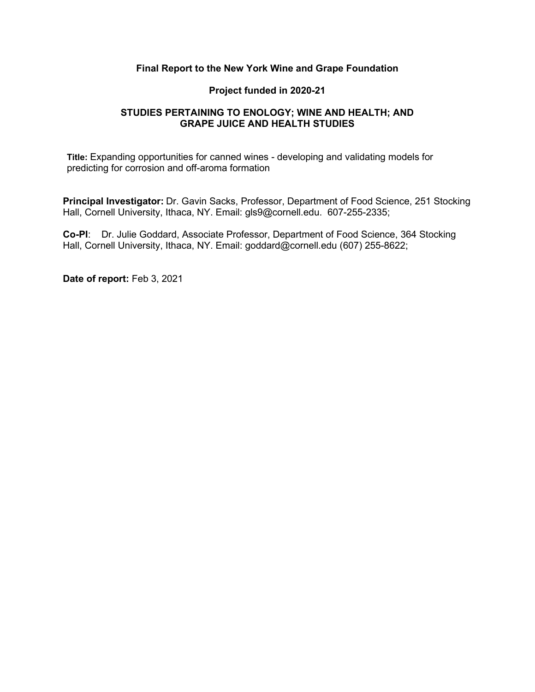### **Final Report to the New York Wine and Grape Foundation**

### **Project funded in 2020-21**

### **STUDIES PERTAINING TO ENOLOGY; WINE AND HEALTH; AND GRAPE JUICE AND HEALTH STUDIES**

**Title:** Expanding opportunities for canned wines - developing and validating models for predicting for corrosion and off-aroma formation

**Principal Investigator:** Dr. Gavin Sacks, Professor, Department of Food Science, 251 Stocking Hall, Cornell University, Ithaca, NY. Email: gls9@cornell.edu. 607-255-2335;

**Co-PI**: Dr. Julie Goddard, Associate Professor, Department of Food Science, 364 Stocking Hall, Cornell University, Ithaca, NY. Email: goddard@cornell.edu (607) 255-8622;

**Date of report:** Feb 3, 2021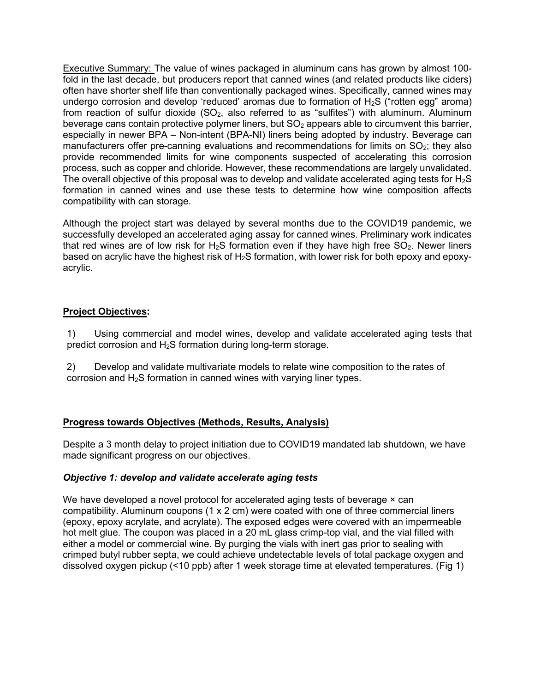**Executive Summary:** The value of wines packaged in aluminum cans has grown by almost 100fold in the last decade, but producers report that canned wines (and related products like ciders) often have shorter shelf life than conventionally packaged wines. Specifically, canned wines may undergo corrosion and develop 'reduced' aromas due to formation of  $H_2S$  ("rotten egg" aroma) from reaction of sulfur dioxide  $(SO<sub>2</sub>)$ , also referred to as "sulfites") with aluminum. Aluminum beverage cans contain protective polymer liners, but  $SO<sub>2</sub>$  appears able to circumvent this barrier, especially in newer BPA – Non-intent (BPA-NI) liners being adopted by industry. Beverage can manufacturers offer pre-canning evaluations and recommendations for limits on  $SO<sub>2</sub>$ ; they also provide recommended limits for wine components suspected of accelerating this corrosion process, such as copper and chloride. However, these recommendations are largely unvalidated. The overall objective of this proposal was to develop and validate accelerated aging tests for  $H_2S$ formation in canned wines and use these tests to determine how wine composition affects compatibility with can storage.

Although the project start was delayed by several months due to the COVID19 pandemic, we successfully developed an accelerated aging assay for canned wines. Preliminary work indicates that red wines are of low risk for  $H_2S$  formation even if they have high free  $SO_2$ . Newer liners based on acrylic have the highest risk of  $H_2S$  formation, with lower risk for both epoxy and epoxyacrylic.

# **Project Objectives:**

1) Using commercial and model wines, develop and validate accelerated aging tests that predict corrosion and H2S formation during long-term storage.

2) Develop and validate multivariate models to relate wine composition to the rates of corrosion and  $H_2S$  formation in canned wines with varying liner types.

## **Progress towards Objectives (Methods, Results, Analysis)**

Despite a 3 month delay to project initiation due to COVID19 mandated lab shutdown, we have made significant progress on our objectives.

## *Objective 1: develop and validate accelerate aging tests*

We have developed a novel protocol for accelerated aging tests of beverage  $\times$  can compatibility. Aluminum coupons (1 x 2 cm) were coated with one of three commercial liners (epoxy, epoxy acrylate, and acrylate). The exposed edges were covered with an impermeable hot melt glue. The coupon was placed in a 20 mL glass crimp-top vial, and the vial filled with either a model or commercial wine. By purging the vials with inert gas prior to sealing with crimped butyl rubber septa, we could achieve undetectable levels of total package oxygen and dissolved oxygen pickup (<10 ppb) after 1 week storage time at elevated temperatures. (Fig 1)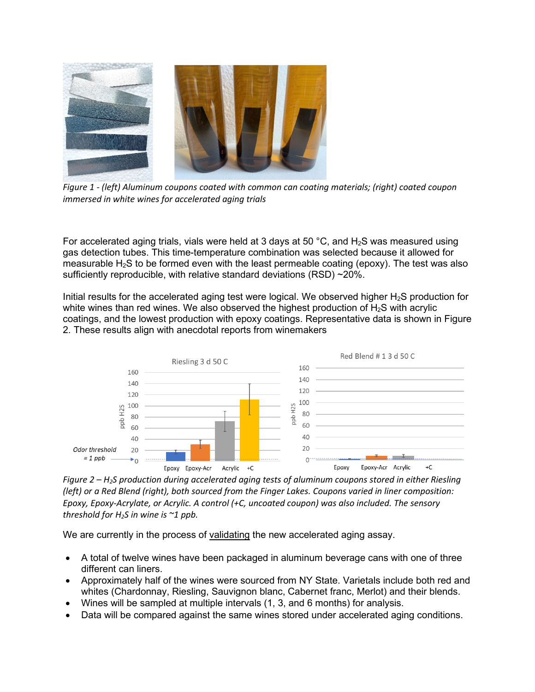

*Figure 1 - (left) Aluminum coupons coated with common can coating materials; (right) coated coupon immersed in white wines for accelerated aging trials*

For accelerated aging trials, vials were held at 3 days at 50  $^{\circ}$ C, and H<sub>2</sub>S was measured using gas detection tubes. This time-temperature combination was selected because it allowed for measurable  $H_2S$  to be formed even with the least permeable coating (epoxy). The test was also sufficiently reproducible, with relative standard deviations (RSD) ~20%.

Initial results for the accelerated aging test were logical. We observed higher H<sub>2</sub>S production for white wines than red wines. We also observed the highest production of  $H_2S$  with acrylic coatings, and the lowest production with epoxy coatings. Representative data is shown in Figure 2. These results align with anecdotal reports from winemakers



*Figure 2 – H2S production during accelerated aging tests of aluminum coupons stored in either Riesling (left) or a Red Blend (right), both sourced from the Finger Lakes. Coupons varied in liner composition: Epoxy, Epoxy-Acrylate, or Acrylic. A control (+C, uncoated coupon) was also included. The sensory threshold for H2S in wine is ~1 ppb.*

We are currently in the process of validating the new accelerated aging assay.

- A total of twelve wines have been packaged in aluminum beverage cans with one of three different can liners.
- Approximately half of the wines were sourced from NY State. Varietals include both red and whites (Chardonnay, Riesling, Sauvignon blanc, Cabernet franc, Merlot) and their blends.
- Wines will be sampled at multiple intervals (1, 3, and 6 months) for analysis.
- Data will be compared against the same wines stored under accelerated aging conditions.